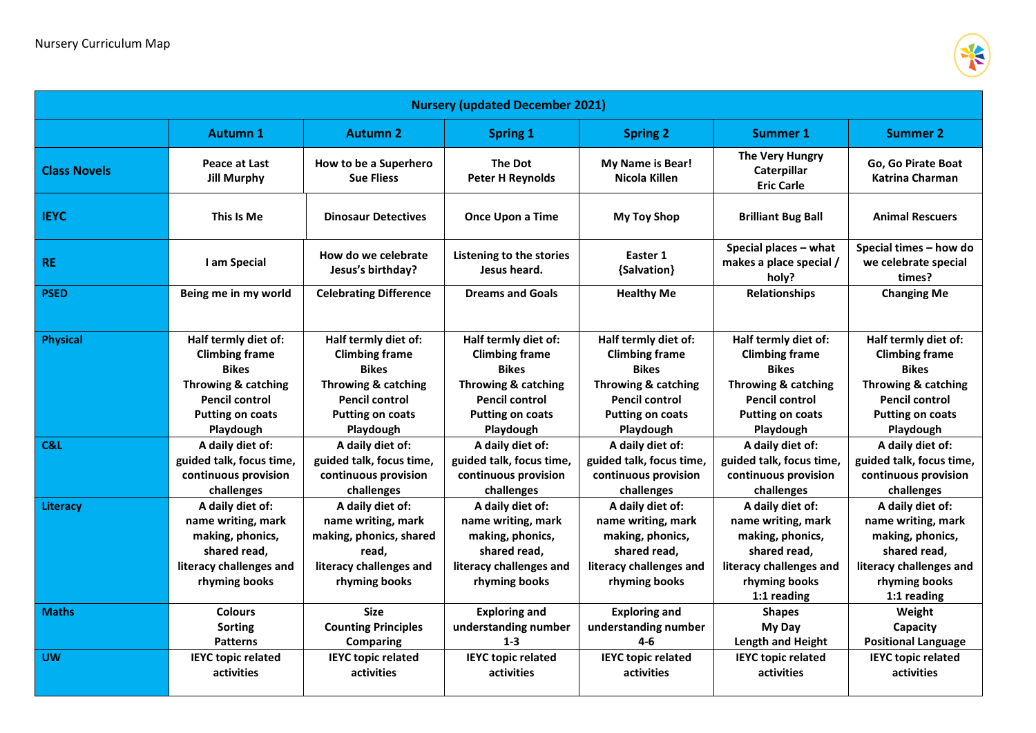

| <b>Nursery (updated December 2021)</b> |                                                                                                                                                       |                                                                                                                                                       |                                                                                                                                                       |                                                                                                                                                                  |                                                                                                                                                       |                                                                                                                                                       |  |  |  |
|----------------------------------------|-------------------------------------------------------------------------------------------------------------------------------------------------------|-------------------------------------------------------------------------------------------------------------------------------------------------------|-------------------------------------------------------------------------------------------------------------------------------------------------------|------------------------------------------------------------------------------------------------------------------------------------------------------------------|-------------------------------------------------------------------------------------------------------------------------------------------------------|-------------------------------------------------------------------------------------------------------------------------------------------------------|--|--|--|
|                                        | <b>Autumn 1</b>                                                                                                                                       | <b>Autumn 2</b>                                                                                                                                       | <b>Spring 1</b>                                                                                                                                       | <b>Spring 2</b>                                                                                                                                                  | Summer 1                                                                                                                                              | <b>Summer 2</b>                                                                                                                                       |  |  |  |
| <b>Class Novels</b>                    | Peace at Last<br><b>Jill Murphy</b>                                                                                                                   | How to be a Superhero<br><b>Sue Fliess</b>                                                                                                            | The Dot<br><b>Peter H Reynolds</b>                                                                                                                    | My Name is Bear!<br>Nicola Killen                                                                                                                                | The Very Hungry<br>Caterpillar<br><b>Eric Carle</b>                                                                                                   | Go, Go Pirate Boat<br><b>Katrina Charman</b>                                                                                                          |  |  |  |
| <b>IEYC</b>                            | This Is Me                                                                                                                                            | <b>Dinosaur Detectives</b>                                                                                                                            | <b>Once Upon a Time</b>                                                                                                                               | <b>My Toy Shop</b>                                                                                                                                               | <b>Brilliant Bug Ball</b>                                                                                                                             | <b>Animal Rescuers</b>                                                                                                                                |  |  |  |
| <b>RE</b>                              | I am Special                                                                                                                                          | How do we celebrate<br>Jesus's birthday?                                                                                                              | Listening to the stories<br>Jesus heard.                                                                                                              | Easter 1<br>{Salvation}                                                                                                                                          | Special places - what<br>makes a place special /<br>holv?                                                                                             | Special times - how do<br>we celebrate special<br>times?                                                                                              |  |  |  |
| <b>PSED</b>                            | Being me in my world                                                                                                                                  | <b>Celebrating Difference</b>                                                                                                                         | <b>Dreams and Goals</b>                                                                                                                               | <b>Healthy Me</b>                                                                                                                                                | Relationships                                                                                                                                         | <b>Changing Me</b>                                                                                                                                    |  |  |  |
| <b>Physical</b>                        | Half termly diet of:<br><b>Climbing frame</b><br><b>Bikes</b><br>Throwing & catching<br><b>Pencil control</b><br><b>Putting on coats</b><br>Playdough | Half termly diet of:<br><b>Climbing frame</b><br><b>Bikes</b><br>Throwing & catching<br><b>Pencil control</b><br><b>Putting on coats</b><br>Playdough | Half termly diet of:<br><b>Climbing frame</b><br><b>Bikes</b><br>Throwing & catching<br><b>Pencil control</b><br><b>Putting on coats</b><br>Playdough | Half termly diet of:<br><b>Climbing frame</b><br><b>Bikes</b><br><b>Throwing &amp; catching</b><br><b>Pencil control</b><br><b>Putting on coats</b><br>Playdough | Half termly diet of:<br><b>Climbing frame</b><br><b>Bikes</b><br>Throwing & catching<br><b>Pencil control</b><br><b>Putting on coats</b><br>Playdough | Half termly diet of:<br><b>Climbing frame</b><br><b>Bikes</b><br>Throwing & catching<br><b>Pencil control</b><br><b>Putting on coats</b><br>Playdough |  |  |  |
| C&L                                    | A daily diet of:<br>guided talk, focus time,<br>continuous provision<br>challenges                                                                    | A daily diet of:<br>guided talk, focus time,<br>continuous provision<br>challenges                                                                    | A daily diet of:<br>guided talk, focus time,<br>continuous provision<br>challenges                                                                    | A daily diet of:<br>guided talk, focus time,<br>continuous provision<br>challenges                                                                               | A daily diet of:<br>guided talk, focus time,<br>continuous provision<br>challenges                                                                    | A daily diet of:<br>guided talk, focus time,<br>continuous provision<br>challenges                                                                    |  |  |  |
| Literacy                               | A daily diet of:<br>name writing, mark<br>making, phonics,<br>shared read,<br>literacy challenges and<br>rhyming books                                | A daily diet of:<br>name writing, mark<br>making, phonics, shared<br>read.<br>literacy challenges and<br>rhyming books                                | A daily diet of:<br>name writing, mark<br>making, phonics,<br>shared read,<br>literacy challenges and<br>rhyming books                                | A daily diet of:<br>name writing, mark<br>making, phonics,<br>shared read,<br>literacy challenges and<br>rhyming books                                           | A daily diet of:<br>name writing, mark<br>making, phonics,<br>shared read,<br>literacy challenges and<br>rhyming books<br>1:1 reading                 | A daily diet of:<br>name writing, mark<br>making, phonics,<br>shared read,<br>literacy challenges and<br>rhyming books<br>1:1 reading                 |  |  |  |
| <b>Maths</b>                           | <b>Colours</b><br><b>Sorting</b><br><b>Patterns</b>                                                                                                   | <b>Size</b><br><b>Counting Principles</b><br><b>Comparing</b>                                                                                         | <b>Exploring and</b><br>understanding number<br>$1 - 3$                                                                                               | <b>Exploring and</b><br>understanding number<br>$4-6$                                                                                                            | <b>Shapes</b><br>My Day<br><b>Length and Height</b>                                                                                                   | Weight<br>Capacity<br><b>Positional Language</b>                                                                                                      |  |  |  |
| <b>UW</b>                              | <b>IEYC topic related</b><br>activities                                                                                                               | <b>IEYC topic related</b><br>activities                                                                                                               | <b>IEYC topic related</b><br>activities                                                                                                               | <b>IEYC topic related</b><br>activities                                                                                                                          | <b>IEYC topic related</b><br>activities                                                                                                               | <b>IEYC topic related</b><br>activities                                                                                                               |  |  |  |